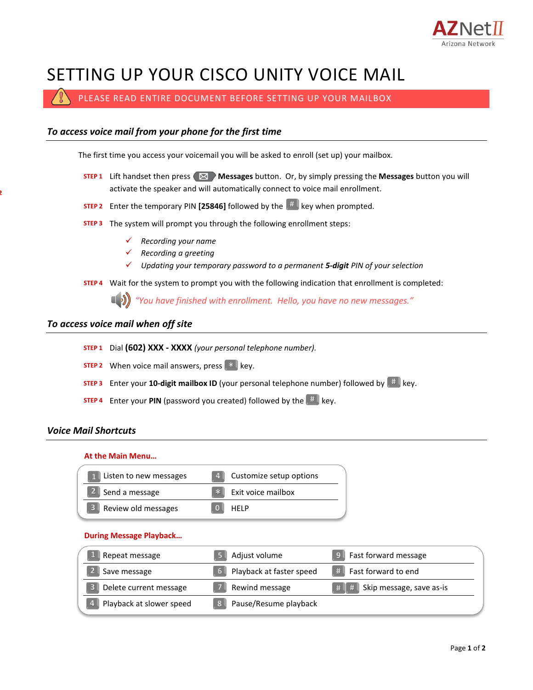

# SETTING UP YOUR CISCO UNITY VOICE MAIL

PLEASE READ ENTIRE DOCUMENT BEFORE SETTING UP YOUR MAILBOX

# *To access voice mail from your phone for the first time* The first time you access your voicemail you will be asked to enroll (set up) your mailbox. **STEP 1** Lift handset then press  $\boxtimes$  **Messages** button. Or, by simply pressing the **Messages** button you will activate the speaker and will automatically connect to voice mail enrollment. **STEP 2** Enter the temporary PIN [25846] followed by the  $\frac{4}{3}$  key when prompted. The system will prompt you through the following enrollment steps: **STEP 3** *Recording your name Recording a greeting Updating your temporary password to a permanent 5-digit PIN of your selection* Wait for the system to prompt you with the following indication that enrollment is completed: **STEP 4** *"You have finished with enrollment. Hello, you have no new messages." To access voice mail when off site* Dial **(602) XXX - XXXX** *(your personal telephone number).* **STEP 1 STEP 2** When voice mail answers, press  $\begin{bmatrix} * \ * \end{bmatrix}$  key. **STEP 3** Enter your **10-digit mailbox ID** (your personal telephone number) followed by  $\frac{H}{\sqrt{2}}$  key.

**STEP 4** Enter your PIN (password you created) followed by the  $\left[\begin{matrix} H & W\end{matrix}\right]$  key.

## *Voice Mail Shortcuts*

**STEP 2**

#### **At the Main Menu…**

| 1 Listen to new messages |              | 4 Customize setup options |
|--------------------------|--------------|---------------------------|
| Send a message           |              | * Exit voice mailbox      |
| 3 Review old messages    | $\mathbf{0}$ | <b>HFIP</b>               |

#### **During Message Playback…**

| Repeat message           | Adjust volume                 | Fast forward message            |
|--------------------------|-------------------------------|---------------------------------|
| Save message             | Playback at faster speed<br>6 | $#$ Fast forward to end         |
| Delete current message   | Rewind message                | Skip message, save as-is<br># # |
| Playback at slower speed | Pause/Resume playback         |                                 |